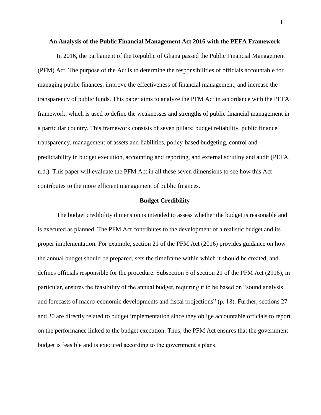#### **An Analysis of the Public Financial Management Act 2016 with the PEFA Framework**

In 2016, the parliament of the Republic of Ghana passed the Public Financial Management (PFM) Act. The purpose of the Act is to determine the responsibilities of officials accountable for managing public finances, improve the effectiveness of financial management, and increase the transparency of public funds. This paper aims to analyze the PFM Act in accordance with the PEFA framework, which is used to define the weaknesses and strengths of public financial management in a particular country. This framework consists of seven pillars: budget reliability, public finance transparency, management of assets and liabilities, policy-based budgeting, control and predictability in budget execution, accounting and reporting, and external scrutiny and audit (PEFA, n.d.). This paper will evaluate the PFM Act in all these seven dimensions to see how this Act contributes to the more efficient management of public finances.

#### **Budget Credibility**

The budget credibility dimension is intended to assess whether the budget is reasonable and is executed as planned. The PFM Act contributes to the development of a realistic budget and its proper implementation. For example, section 21 of the PFM Act (2016) provides guidance on how the annual budget should be prepared, sets the timeframe within which it should be created, and defines officials responsible for the procedure. Subsection 5 of section 21 of the PFM Act (2916), in particular, ensures the feasibility of the annual budget, requiring it to be based on "sound analysis and forecasts of macro-economic developments and fiscal projections" (p. 18). Further, sections 27 and 30 are directly related to budget implementation since they oblige accountable officials to report on the performance linked to the budget execution. Thus, the PFM Act ensures that the government budget is feasible and is executed according to the government's plans.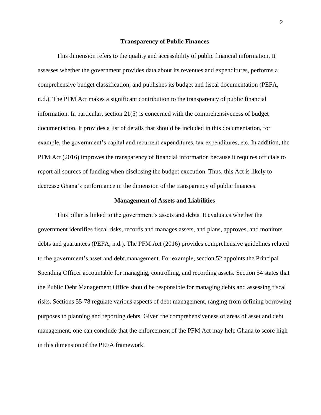## **Transparency of Public Finances**

This dimension refers to the quality and accessibility of public financial information. It assesses whether the government provides data about its revenues and expenditures, performs a comprehensive budget classification, and publishes its budget and fiscal documentation (PEFA, n.d.). The PFM Act makes a significant contribution to the transparency of public financial information. In particular, section 21(5) is concerned with the comprehensiveness of budget documentation. It provides a list of details that should be included in this documentation, for example, the government's capital and recurrent expenditures, tax expenditures, etc. In addition, the PFM Act (2016) improves the transparency of financial information because it requires officials to report all sources of funding when disclosing the budget execution. Thus, this Act is likely to decrease Ghana's performance in the dimension of the transparency of public finances.

#### **Management of Assets and Liabilities**

This pillar is linked to the government's assets and debts. It evaluates whether the government identifies fiscal risks, records and manages assets, and plans, approves, and monitors debts and guarantees (PEFA, n.d.). The PFM Act (2016) provides comprehensive guidelines related to the government's asset and debt management. For example, section 52 appoints the Principal Spending Officer accountable for managing, controlling, and recording assets. Section 54 states that the Public Debt Management Office should be responsible for managing debts and assessing fiscal risks. Sections 55-78 regulate various aspects of debt management, ranging from defining borrowing purposes to planning and reporting debts. Given the comprehensiveness of areas of asset and debt management, one can conclude that the enforcement of the PFM Act may help Ghana to score high in this dimension of the PEFA framework.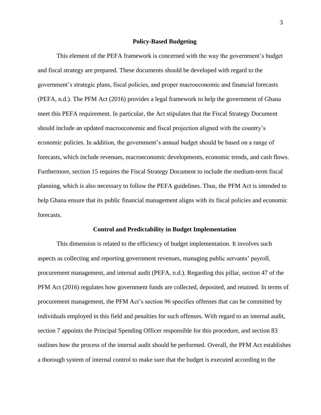#### **Policy-Based Budgeting**

This element of the PEFA framework is concerned with the way the government's budget and fiscal strategy are prepared. These documents should be developed with regard to the government's strategic plans, fiscal policies, and proper macroeconomic and financial forecasts (PEFA, n.d.). The PFM Act (2016) provides a legal framework to help the government of Ghana meet this PEFA requirement. In particular, the Act stipulates that the Fiscal Strategy Document should include an updated macroeconomic and fiscal projection aligned with the country's economic policies. In addition, the government's annual budget should be based on a range of forecasts, which include revenues, macroeconomic developments, economic trends, and cash flows. Furthermore, section 15 requires the Fiscal Strategy Document to include the medium-term fiscal planning, which is also necessary to follow the PEFA guidelines. Thus, the PFM Act is intended to help Ghana ensure that its public financial management aligns with its fiscal policies and economic forecasts.

#### **Control and Predictability in Budget Implementation**

This dimension is related to the efficiency of budget implementation. It involves such aspects as collecting and reporting government revenues, managing public servants' payroll, procurement management, and internal audit (PEFA, n.d.). Regarding this pillar, section 47 of the PFM Act (2016) regulates how government funds are collected, deposited, and retained. In terms of procurement management, the PFM Act's section 96 specifies offenses that can be committed by individuals employed in this field and penalties for such offenses. With regard to an internal audit, section 7 appoints the Principal Spending Officer responsible for this procedure, and section 83 outlines how the process of the internal audit should be performed. Overall, the PFM Act establishes a thorough system of internal control to make sure that the budget is executed according to the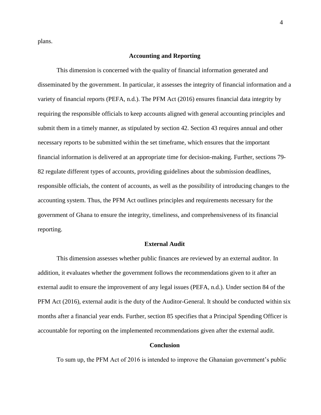plans.

# **Accounting and Reporting**

This dimension is concerned with the quality of financial information generated and disseminated by the government. In particular, it assesses the integrity of financial information and a variety of financial reports (PEFA, n.d.). The PFM Act (2016) ensures financial data integrity by requiring the responsible officials to keep accounts aligned with general accounting principles and submit them in a timely manner, as stipulated by section 42. Section 43 requires annual and other necessary reports to be submitted within the set timeframe, which ensures that the important financial information is delivered at an appropriate time for decision-making. Further, sections 79- 82 regulate different types of accounts, providing guidelines about the submission deadlines, responsible officials, the content of accounts, as well as the possibility of introducing changes to the accounting system. Thus, the PFM Act outlines principles and requirements necessary for the government of Ghana to ensure the integrity, timeliness, and comprehensiveness of its financial reporting.

## **External Audit**

This dimension assesses whether public finances are reviewed by an external auditor. In addition, it evaluates whether the government follows the recommendations given to it after an external audit to ensure the improvement of any legal issues (PEFA, n.d.). Under section 84 of the PFM Act (2016), external audit is the duty of the Auditor-General. It should be conducted within six months after a financial year ends. Further, section 85 specifies that a Principal Spending Officer is accountable for reporting on the implemented recommendations given after the external audit.

# **Conclusion**

To sum up, the PFM Act of 2016 is intended to improve the Ghanaian government's public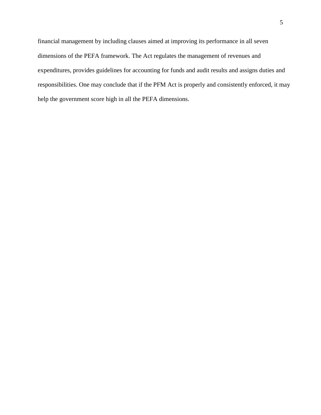financial management by including clauses aimed at improving its performance in all seven dimensions of the PEFA framework. The Act regulates the management of revenues and expenditures, provides guidelines for accounting for funds and audit results and assigns duties and responsibilities. One may conclude that if the PFM Act is properly and consistently enforced, it may help the government score high in all the PEFA dimensions.